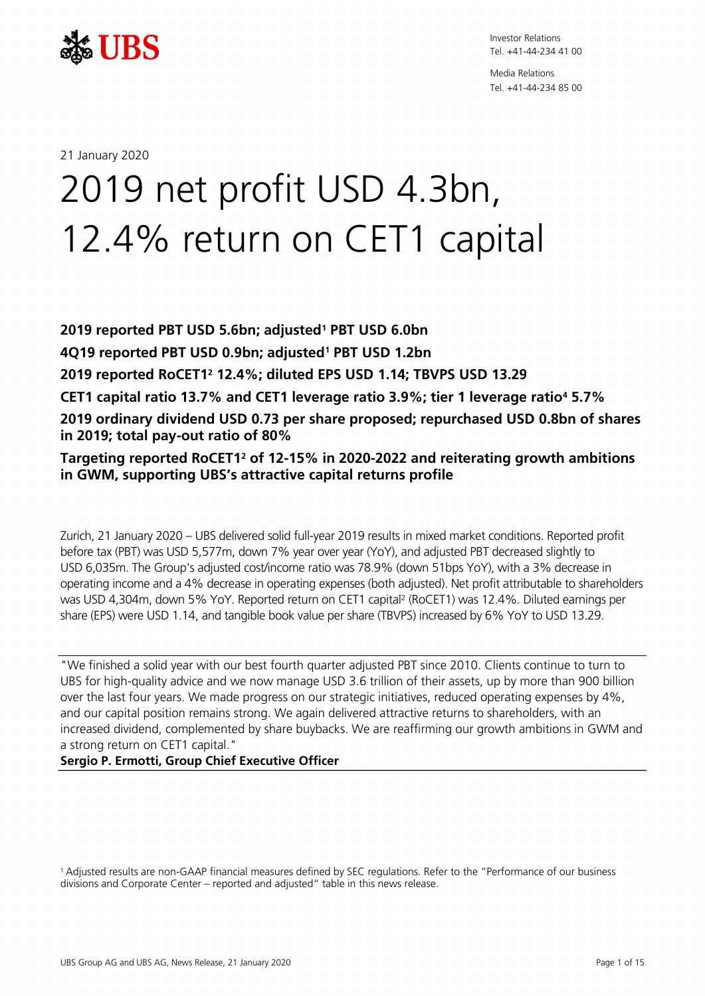

Media Relations Tel. +41-44-234 85 00

21 January 2020

# 2019 net profit USD 4.3bn, 12.4% return on CET1 capital

**2019 reported PBT USD 5.6bn; adjusted<sup>1</sup> PBT USD 6.0bn 4Q19 reported PBT USD 0.9bn; adjusted<sup>1</sup> PBT USD 1.2bn 2019 reported RoCET1<sup>2</sup> 12.4%; diluted EPS USD 1.14; TBVPS USD 13.29 CET1 capital ratio 13.7% and CET1 leverage ratio 3.9%; tier 1 leverage ratio<sup>4</sup> 5.7% 2019 ordinary dividend USD 0.73 per share proposed; repurchased USD 0.8bn of shares in 2019; total pay-out ratio of 80%**

**Targeting reported RoCET1<sup>2</sup> of 12-15% in 2020-2022 and reiterating growth ambitions in GWM, supporting UBS's attractive capital returns profile**

Zurich, 21 January 2020 – UBS delivered solid full-year 2019 results in mixed market conditions. Reported profit before tax (PBT) was USD 5,577m, down 7% year over year (YoY), and adjusted PBT decreased slightly to USD 6,035m. The Group's adjusted cost/income ratio was 78.9% (down 51bps YoY), with a 3% decrease in operating income and a 4% decrease in operating expenses (both adjusted). Net profit attributable to shareholders was USD 4,304m, down 5% YoY. Reported return on CET1 capital<sup>2</sup> (RoCET1) was 12.4%. Diluted earnings per share (EPS) were USD 1.14, and tangible book value per share (TBVPS) increased by 6% YoY to USD 13.29.

"We finished a solid year with our best fourth quarter adjusted PBT since 2010. Clients continue to turn to UBS for high-quality advice and we now manage USD 3.6 trillion of their assets, up by more than 900 billion over the last four years. We made progress on our strategic initiatives, reduced operating expenses by 4%, and our capital position remains strong. We again delivered attractive returns to shareholders, with an increased dividend, complemented by share buybacks. We are reaffirming our growth ambitions in GWM and a strong return on CET1 capital."

### **Sergio P. Ermotti, Group Chief Executive Officer**

<sup>1</sup>Adjusted results are non-GAAP financial measures defined by SEC regulations. Refer to the "Performance of our business divisions and Corporate Center – reported and adjusted" table in this news release.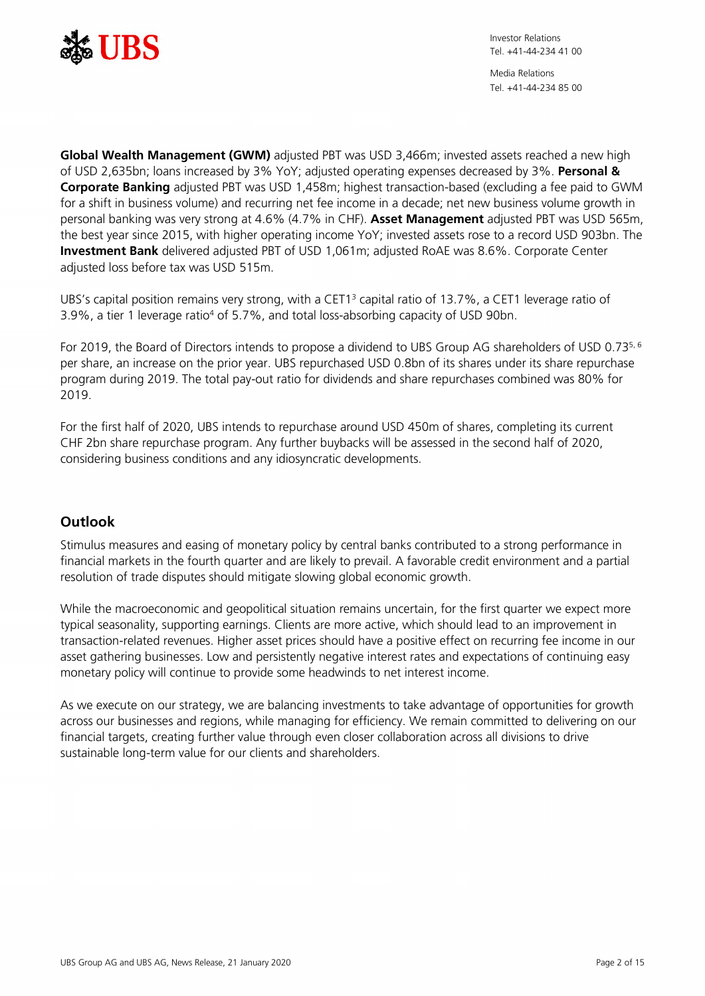

Media Relations Tel. +41-44-234 85 00

**Global Wealth Management (GWM)** adjusted PBT was USD 3,466m; invested assets reached a new high of USD 2,635bn; loans increased by 3% YoY; adjusted operating expenses decreased by 3%. **Personal & Corporate Banking** adjusted PBT was USD 1,458m; highest transaction-based (excluding a fee paid to GWM for a shift in business volume) and recurring net fee income in a decade; net new business volume growth in personal banking was very strong at 4.6% (4.7% in CHF). **Asset Management** adjusted PBT was USD 565m, the best year since 2015, with higher operating income YoY; invested assets rose to a record USD 903bn. The **Investment Bank** delivered adjusted PBT of USD 1,061m; adjusted RoAE was 8.6%. Corporate Center adjusted loss before tax was USD 515m.

UBS's capital position remains very strong, with a CET1<sup>3</sup> capital ratio of 13.7%, a CET1 leverage ratio of 3.9%, a tier 1 leverage ratio<sup>4</sup> of 5.7%, and total loss-absorbing capacity of USD 90bn.

For 2019, the Board of Directors intends to propose a dividend to UBS Group AG shareholders of USD 0.735, 6 per share, an increase on the prior year. UBS repurchased USD 0.8bn of its shares under its share repurchase program during 2019. The total pay-out ratio for dividends and share repurchases combined was 80% for 2019.

For the first half of 2020, UBS intends to repurchase around USD 450m of shares, completing its current CHF 2bn share repurchase program. Any further buybacks will be assessed in the second half of 2020, considering business conditions and any idiosyncratic developments.

# **Outlook**

Stimulus measures and easing of monetary policy by central banks contributed to a strong performance in financial markets in the fourth quarter and are likely to prevail. A favorable credit environment and a partial resolution of trade disputes should mitigate slowing global economic growth.

While the macroeconomic and geopolitical situation remains uncertain, for the first quarter we expect more typical seasonality, supporting earnings. Clients are more active, which should lead to an improvement in transaction-related revenues. Higher asset prices should have a positive effect on recurring fee income in our asset gathering businesses. Low and persistently negative interest rates and expectations of continuing easy monetary policy will continue to provide some headwinds to net interest income.

As we execute on our strategy, we are balancing investments to take advantage of opportunities for growth across our businesses and regions, while managing for efficiency. We remain committed to delivering on our financial targets, creating further value through even closer collaboration across all divisions to drive sustainable long-term value for our clients and shareholders.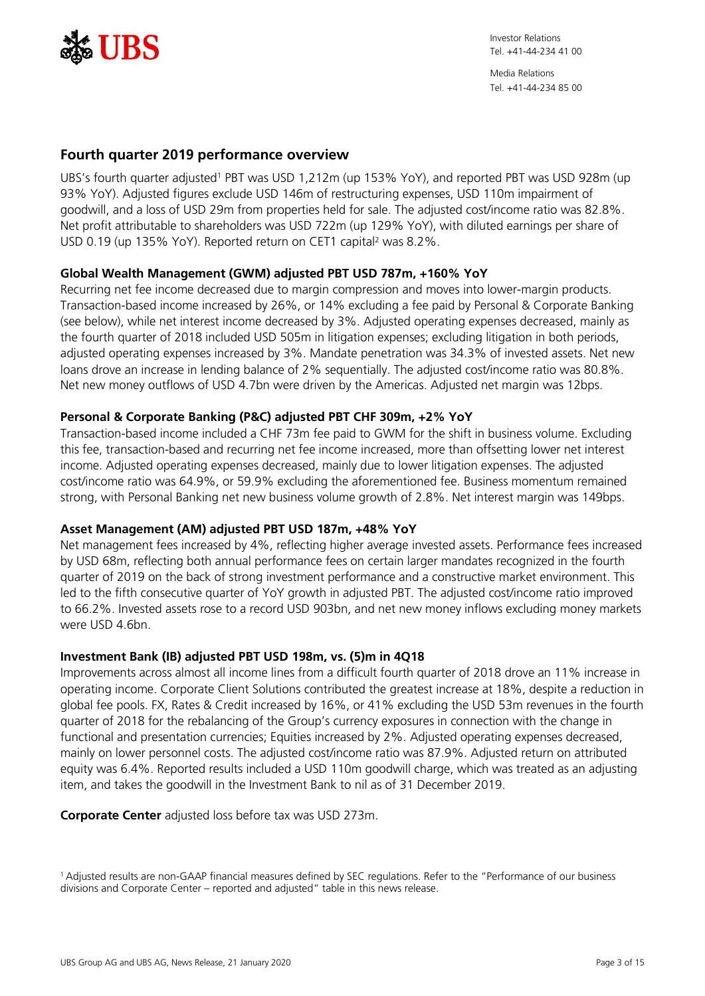

# **Fourth quarter 2019 performance overview**

UBS's fourth quarter adjusted<sup>1</sup> PBT was USD 1,212m (up 153% YoY), and reported PBT was USD 928m (up 93% YoY). Adjusted figures exclude USD 146m of restructuring expenses, USD 110m impairment of goodwill, and a loss of USD 29m from properties held for sale. The adjusted cost/income ratio was 82.8%. Net profit attributable to shareholders was USD 722m (up 129% YoY), with diluted earnings per share of USD 0.19 (up 135% YoY). Reported return on CET1 capital<sup>2</sup> was 8.2%.

# **Global Wealth Management (GWM) adjusted PBT USD 787m, +160% YoY**

Recurring net fee income decreased due to margin compression and moves into lower-margin products. Transaction-based income increased by 26%, or 14% excluding a fee paid by Personal & Corporate Banking (see below), while net interest income decreased by 3%. Adjusted operating expenses decreased, mainly as the fourth quarter of 2018 included USD 505m in litigation expenses; excluding litigation in both periods, adjusted operating expenses increased by 3%. Mandate penetration was 34.3% of invested assets. Net new loans drove an increase in lending balance of 2% sequentially. The adjusted cost/income ratio was 80.8%. Net new money outflows of USD 4.7bn were driven by the Americas. Adjusted net margin was 12bps.

## **Personal & Corporate Banking (P&C) adjusted PBT CHF 309m, +2% YoY**

Transaction-based income included a CHF 73m fee paid to GWM for the shift in business volume. Excluding this fee, transaction-based and recurring net fee income increased, more than offsetting lower net interest income. Adjusted operating expenses decreased, mainly due to lower litigation expenses. The adjusted cost/income ratio was 64.9%, or 59.9% excluding the aforementioned fee. Business momentum remained strong, with Personal Banking net new business volume growth of 2.8%. Net interest margin was 149bps.

### **Asset Management (AM) adjusted PBT USD 187m, +48% YoY**

Net management fees increased by 4%, reflecting higher average invested assets. Performance fees increased by USD 68m, reflecting both annual performance fees on certain larger mandates recognized in the fourth quarter of 2019 on the back of strong investment performance and a constructive market environment. This led to the fifth consecutive quarter of YoY growth in adjusted PBT. The adjusted cost/income ratio improved to 66.2%. Invested assets rose to a record USD 903bn, and net new money inflows excluding money markets were USD 4.6bn.

### **Investment Bank (IB) adjusted PBT USD 198m, vs. (5)m in 4Q18**

Improvements across almost all income lines from a difficult fourth quarter of 2018 drove an 11% increase in operating income. Corporate Client Solutions contributed the greatest increase at 18%, despite a reduction in global fee pools. FX, Rates & Credit increased by 16%, or 41% excluding the USD 53m revenues in the fourth quarter of 2018 for the rebalancing of the Group's currency exposures in connection with the change in functional and presentation currencies; Equities increased by 2%. Adjusted operating expenses decreased, mainly on lower personnel costs. The adjusted cost/income ratio was 87.9%. Adjusted return on attributed equity was 6.4%. Reported results included a USD 110m goodwill charge, which was treated as an adjusting item, and takes the goodwill in the Investment Bank to nil as of 31 December 2019.

**Corporate Center** adjusted loss before tax was USD 273m.

<sup>1</sup>Adjusted results are non-GAAP financial measures defined by SEC regulations. Refer to the "Performance of our business divisions and Corporate Center – reported and adjusted" table in this news release.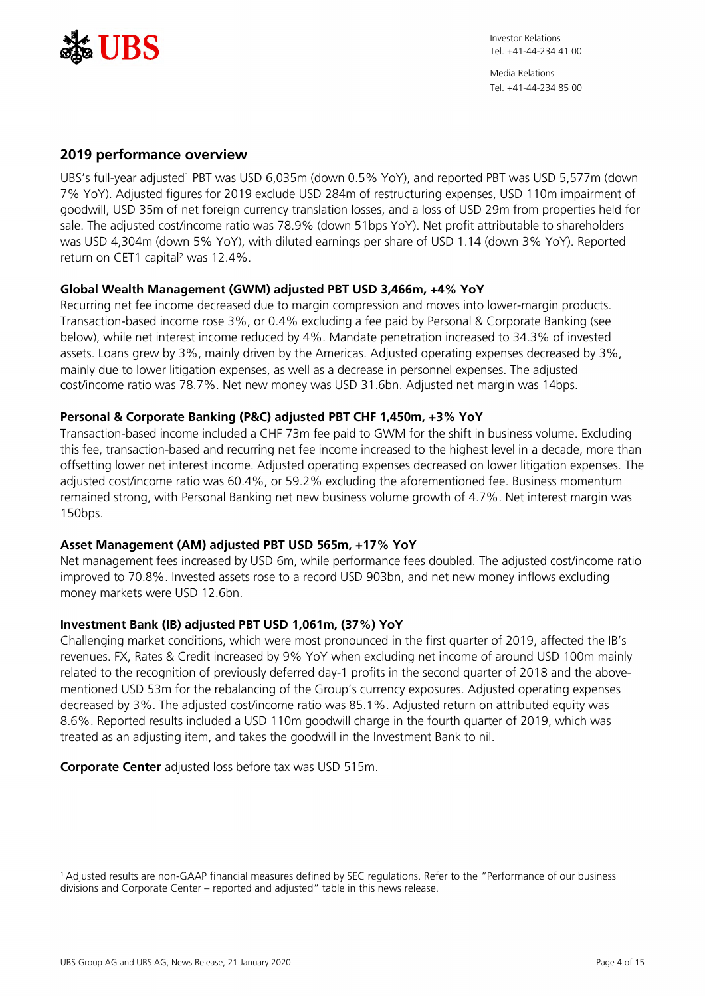

Media Relations Tel. +41-44-234 85 00

## **2019 performance overview**

UBS's full-year adjusted<sup>1</sup> PBT was USD 6,035m (down 0.5% YoY), and reported PBT was USD 5,577m (down 7% YoY). Adjusted figures for 2019 exclude USD 284m of restructuring expenses, USD 110m impairment of goodwill, USD 35m of net foreign currency translation losses, and a loss of USD 29m from properties held for sale. The adjusted cost/income ratio was 78.9% (down 51bps YoY). Net profit attributable to shareholders was USD 4,304m (down 5% YoY), with diluted earnings per share of USD 1.14 (down 3% YoY). Reported return on CET1 capital<sup>2</sup> was 12.4%.

## **Global Wealth Management (GWM) adjusted PBT USD 3,466m, +4% YoY**

Recurring net fee income decreased due to margin compression and moves into lower-margin products. Transaction-based income rose 3%, or 0.4% excluding a fee paid by Personal & Corporate Banking (see below), while net interest income reduced by 4%. Mandate penetration increased to 34.3% of invested assets. Loans grew by 3%, mainly driven by the Americas. Adjusted operating expenses decreased by 3%, mainly due to lower litigation expenses, as well as a decrease in personnel expenses. The adjusted cost/income ratio was 78.7%. Net new money was USD 31.6bn. Adjusted net margin was 14bps.

## **Personal & Corporate Banking (P&C) adjusted PBT CHF 1,450m, +3% YoY**

Transaction-based income included a CHF 73m fee paid to GWM for the shift in business volume. Excluding this fee, transaction-based and recurring net fee income increased to the highest level in a decade, more than offsetting lower net interest income. Adjusted operating expenses decreased on lower litigation expenses. The adjusted cost/income ratio was 60.4%, or 59.2% excluding the aforementioned fee. Business momentum remained strong, with Personal Banking net new business volume growth of 4.7%. Net interest margin was 150bps.

### **Asset Management (AM) adjusted PBT USD 565m, +17% YoY**

Net management fees increased by USD 6m, while performance fees doubled. The adjusted cost/income ratio improved to 70.8%. Invested assets rose to a record USD 903bn, and net new money inflows excluding money markets were USD 12.6bn.

### **Investment Bank (IB) adjusted PBT USD 1,061m, (37%) YoY**

Challenging market conditions, which were most pronounced in the first quarter of 2019, affected the IB's revenues. FX, Rates & Credit increased by 9% YoY when excluding net income of around USD 100m mainly related to the recognition of previously deferred day-1 profits in the second quarter of 2018 and the abovementioned USD 53m for the rebalancing of the Group's currency exposures. Adjusted operating expenses decreased by 3%. The adjusted cost/income ratio was 85.1%. Adjusted return on attributed equity was 8.6%. Reported results included a USD 110m goodwill charge in the fourth quarter of 2019, which was treated as an adjusting item, and takes the goodwill in the Investment Bank to nil.

**Corporate Center** adjusted loss before tax was USD 515m.

<sup>1</sup>Adjusted results are non-GAAP financial measures defined by SEC regulations. Refer to the "Performance of our business divisions and Corporate Center – reported and adjusted" table in this news release.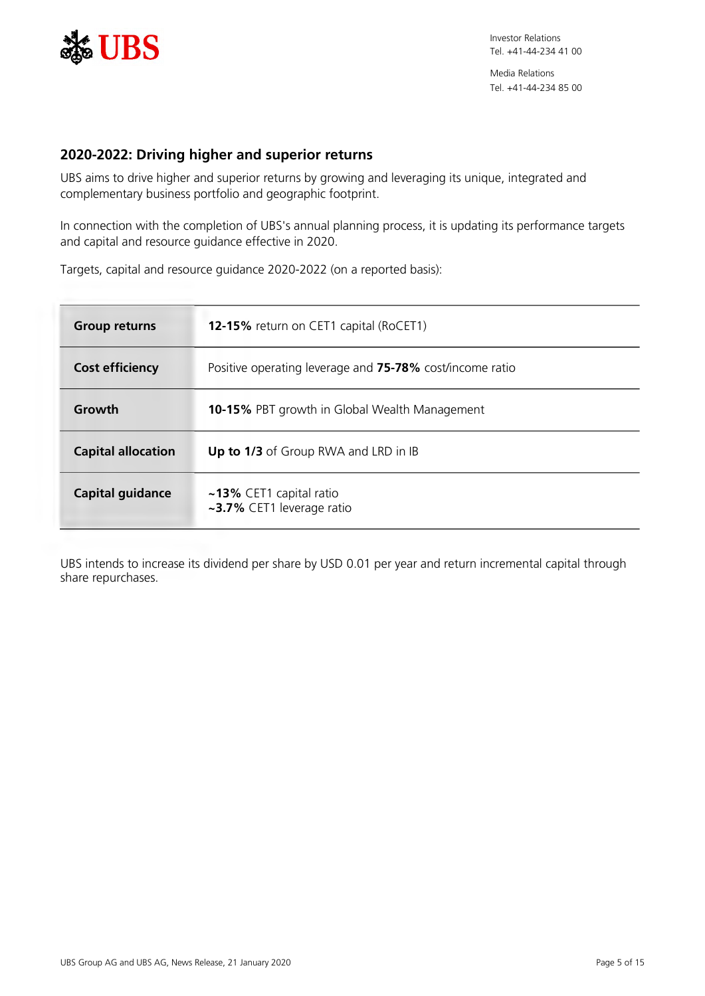

# **2020-2022: Driving higher and superior returns**

UBS aims to drive higher and superior returns by growing and leveraging its unique, integrated and complementary business portfolio and geographic footprint.

In connection with the completion of UBS's annual planning process, it is updating its performance targets and capital and resource guidance effective in 2020.

Targets, capital and resource guidance 2020-2022 (on a reported basis):

| <b>Group returns</b>      | <b>12-15%</b> return on CET1 capital (RoCET1)              |
|---------------------------|------------------------------------------------------------|
| <b>Cost efficiency</b>    | Positive operating leverage and 75-78% cost/income ratio   |
| Growth                    | <b>10-15%</b> PBT growth in Global Wealth Management       |
| <b>Capital allocation</b> | Up to 1/3 of Group RWA and LRD in IB                       |
| <b>Capital guidance</b>   | $\sim$ 13% CET1 capital ratio<br>~3.7% CET1 leverage ratio |

UBS intends to increase its dividend per share by USD 0.01 per year and return incremental capital through share repurchases.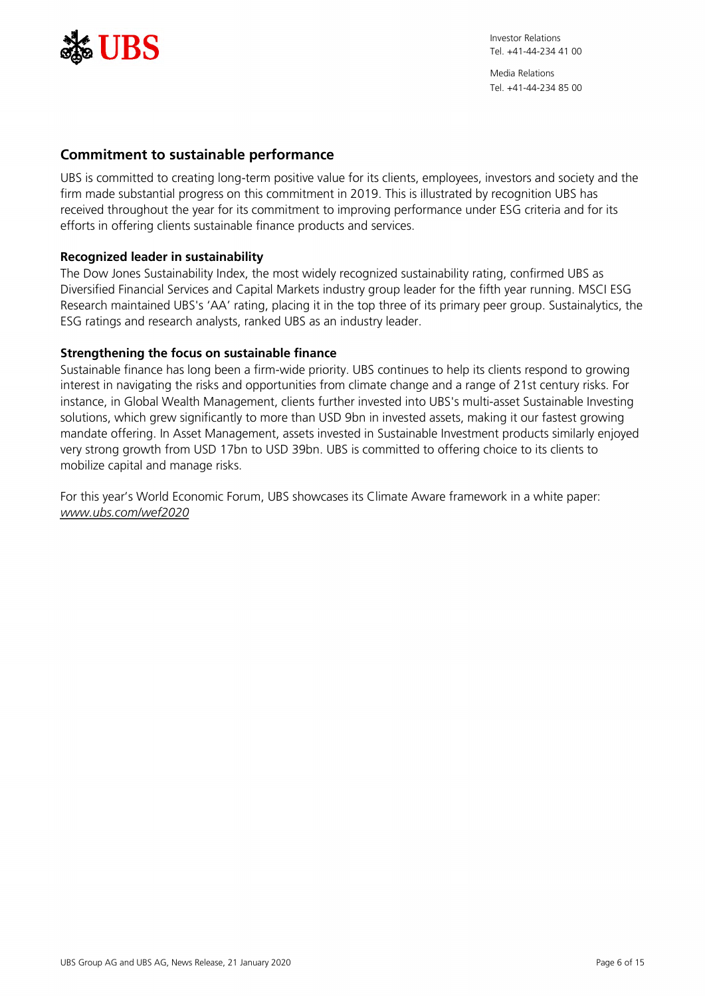

Media Relations Tel. +41-44-234 85 00

# **Commitment to sustainable performance**

UBS is committed to creating long-term positive value for its clients, employees, investors and society and the firm made substantial progress on this commitment in 2019. This is illustrated by recognition UBS has received throughout the year for its commitment to improving performance under ESG criteria and for its efforts in offering clients sustainable finance products and services.

### **Recognized leader in sustainability**

The Dow Jones Sustainability Index, the most widely recognized sustainability rating, confirmed UBS as Diversified Financial Services and Capital Markets industry group leader for the fifth year running. MSCI ESG Research maintained UBS's 'AA' rating, placing it in the top three of its primary peer group. Sustainalytics, the ESG ratings and research analysts, ranked UBS as an industry leader.

### **Strengthening the focus on sustainable finance**

Sustainable finance has long been a firm-wide priority. UBS continues to help its clients respond to growing interest in navigating the risks and opportunities from climate change and a range of 21st century risks. For instance, in Global Wealth Management, clients further invested into UBS's multi-asset Sustainable Investing solutions, which grew significantly to more than USD 9bn in invested assets, making it our fastest growing mandate offering. In Asset Management, assets invested in Sustainable Investment products similarly enjoyed very strong growth from USD 17bn to USD 39bn. UBS is committed to offering choice to its clients to mobilize capital and manage risks.

For this year's World Economic Forum, UBS showcases its Climate Aware framework in a white paper: *[www.ubs.com/wef2020](https://www.ubs.com/wef2020)*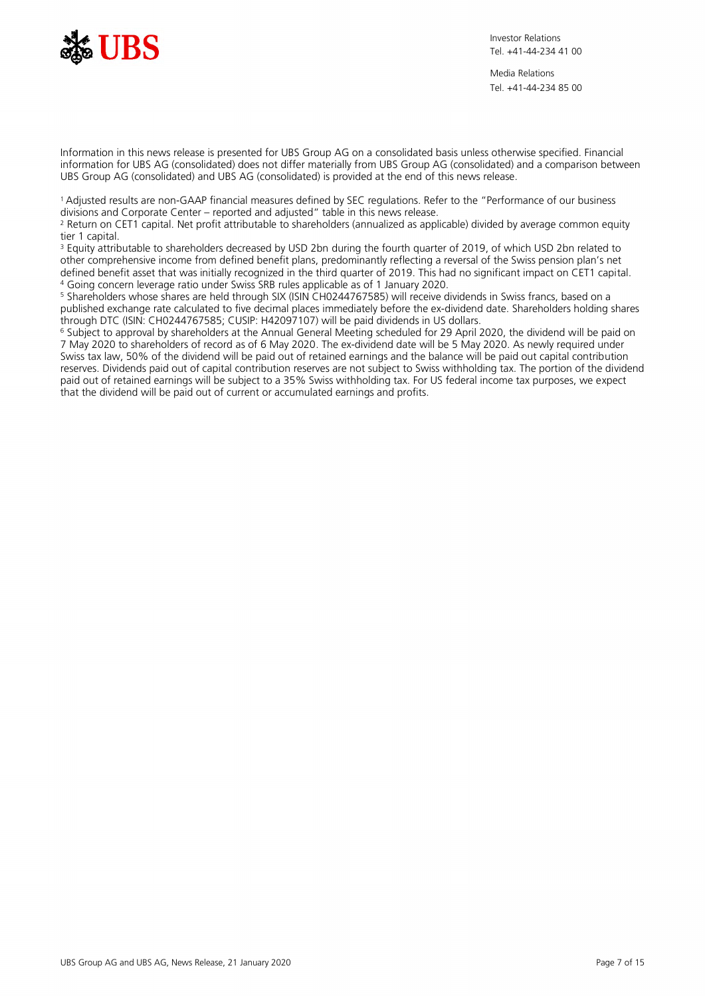

Media Relations Tel. +41-44-234 85 00

Information in this news release is presented for UBS Group AG on a consolidated basis unless otherwise specified. Financial information for UBS AG (consolidated) does not differ materially from UBS Group AG (consolidated) and a comparison between UBS Group AG (consolidated) and UBS AG (consolidated) is provided at the end of this news release.

<sup>1</sup>Adjusted results are non-GAAP financial measures defined by SEC regulations. Refer to the "Performance of our business divisions and Corporate Center – reported and adjusted" table in this news release.

2 Return on CET1 capital. Net profit attributable to shareholders (annualized as applicable) divided by average common equity tier 1 capital.

<sup>3</sup> Equity attributable to shareholders decreased by USD 2bn during the fourth quarter of 2019, of which USD 2bn related to other comprehensive income from defined benefit plans, predominantly reflecting a reversal of the Swiss pension plan's net defined benefit asset that was initially recognized in the third quarter of 2019. This had no significant impact on CET1 capital. 4 Going concern leverage ratio under Swiss SRB rules applicable as of 1 January 2020.

5 Shareholders whose shares are held through SIX (ISIN CH0244767585) will receive dividends in Swiss francs, based on a published exchange rate calculated to five decimal places immediately before the ex-dividend date. Shareholders holding shares through DTC (ISIN: CH0244767585; CUSIP: H42097107) will be paid dividends in US dollars.

<sup>6</sup> Subject to approval by shareholders at the Annual General Meeting scheduled for 29 April 2020, the dividend will be paid on 7 May 2020 to shareholders of record as of 6 May 2020. The ex-dividend date will be 5 May 2020. As newly required under Swiss tax law, 50% of the dividend will be paid out of retained earnings and the balance will be paid out capital contribution reserves. Dividends paid out of capital contribution reserves are not subject to Swiss withholding tax. The portion of the dividend paid out of retained earnings will be subject to a 35% Swiss withholding tax. For US federal income tax purposes, we expect that the dividend will be paid out of current or accumulated earnings and profits.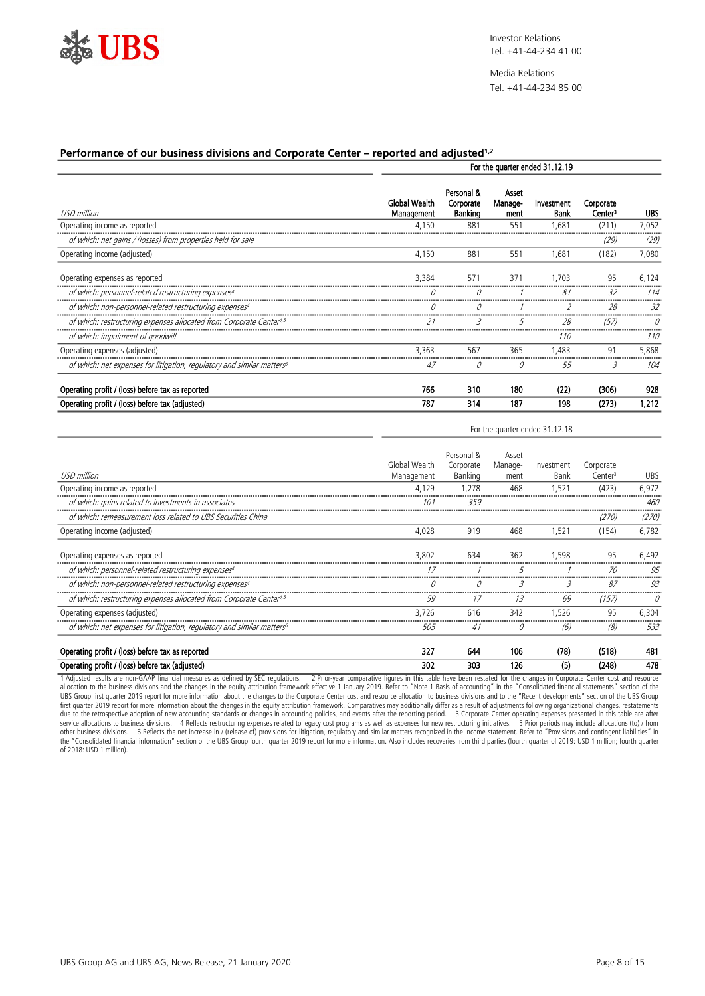

Media Relations Tel. +41-44-234 85 00

For the quarter ended 31.12.18

#### **Performance of our business divisions and Corporate Center – reported and adjusted1,2**

|                                                                          |                                    | For the quarter ended 31.12.19     |                          |                    |                                  |            |  |  |  |
|--------------------------------------------------------------------------|------------------------------------|------------------------------------|--------------------------|--------------------|----------------------------------|------------|--|--|--|
| USD million                                                              | <b>Global Wealth</b><br>Management | Personal &<br>Corporate<br>Banking | Asset<br>Manage-<br>ment | Investment<br>Bank | Corporate<br>Center <sup>3</sup> | <b>UBS</b> |  |  |  |
| Operating income as reported                                             | 4.150                              | 88 <sup>°</sup>                    | 551                      | ,681               | (211)                            | 7,052      |  |  |  |
| of which: net gains / (losses) from properties held for sale             |                                    |                                    |                          |                    | (29)                             | (29)       |  |  |  |
| Operating income (adjusted)                                              | 4,150                              | 881                                | 551                      | 1,681              | (182)                            | 7,080      |  |  |  |
| Operating expenses as reported                                           | 3.384                              | 57'                                | 371                      | .703               | 95                               | 6.124      |  |  |  |
| of which: personnel-related restructuring expenses                       |                                    |                                    |                          | 81                 | 32                               | 114        |  |  |  |
| of which: non-personnel-related restructuring expenses <sup>4</sup>      |                                    |                                    |                          |                    | 28                               | 32         |  |  |  |
| of which: restructuring expenses allocated from Corporate Center4,5      | 21                                 | 3                                  | ל                        | 28                 | 657.                             |            |  |  |  |
| of which: impairment of goodwill                                         |                                    |                                    |                          | 110                |                                  | 110        |  |  |  |
| Operating expenses (adjusted)                                            | 3.363                              | 567                                | 365                      | .483               | 91                               | 5.868      |  |  |  |
| of which: net expenses for litigation, regulatory and similar matters of | 47                                 | 0                                  | 0                        | 55                 | 3                                | 104        |  |  |  |
| Operating profit / (loss) before tax as reported                         | 766                                | 310                                | 180                      | (22)               | (306)                            | 928        |  |  |  |
| Operating profit / (loss) before tax (adjusted)                          | 787                                | 314                                | 187                      | 198                | (273)                            | 1,212      |  |  |  |

| Personal &<br>Asset<br>Global Wealth<br>Corporate<br>Manage-<br>Investment<br>Corporate<br>USD million<br><b>UBS</b><br>Banking<br>Management<br>Bank<br>Center <sup>3</sup><br>ment<br>468<br>(423)<br>6,972<br>1.521<br>4.129<br>1.278<br>Operating income as reported<br>of which: gains related to investments in associates<br>460<br>101<br>359<br>of which: remeasurement loss related to UBS Securities China<br>(270)<br>(270)<br>468<br>6.782<br>4,028<br>919<br>1,521<br>(154)<br>Operating income (adjusted)<br>362<br>95<br>3.802<br>634<br>1.598<br>6.492<br>Operating expenses as reported<br>of which: personnel-related restructuring expenses4<br>95<br>70<br>87<br>of which: non-personnel-related restructuring expenses <sup>4</sup><br>К<br>3<br>93<br>$\iota$<br>of which: restructuring expenses allocated from Corporate Center4,5<br>59<br>13<br>69<br>(157)<br>17<br>342<br>95<br>6.304<br>3.726<br>616<br>1.526<br>Operating expenses (adjusted)<br>533<br>of which: net expenses for litigation, regulatory and similar matters of<br>505<br>(8)<br>0<br>(6)<br>41<br>(78)<br>(518)<br>327<br>106<br>481<br>Operating profit / (loss) before tax as reported<br>644 | Operating profit / (loss) before tax (adjusted) | 302 | 303 | 126 | (5) | (248) | 478 |
|--------------------------------------------------------------------------------------------------------------------------------------------------------------------------------------------------------------------------------------------------------------------------------------------------------------------------------------------------------------------------------------------------------------------------------------------------------------------------------------------------------------------------------------------------------------------------------------------------------------------------------------------------------------------------------------------------------------------------------------------------------------------------------------------------------------------------------------------------------------------------------------------------------------------------------------------------------------------------------------------------------------------------------------------------------------------------------------------------------------------------------------------------------------------------------------------------|-------------------------------------------------|-----|-----|-----|-----|-------|-----|
|                                                                                                                                                                                                                                                                                                                                                                                                                                                                                                                                                                                                                                                                                                                                                                                                                                                                                                                                                                                                                                                                                                                                                                                                  |                                                 |     |     |     |     |       |     |
|                                                                                                                                                                                                                                                                                                                                                                                                                                                                                                                                                                                                                                                                                                                                                                                                                                                                                                                                                                                                                                                                                                                                                                                                  |                                                 |     |     |     |     |       |     |
|                                                                                                                                                                                                                                                                                                                                                                                                                                                                                                                                                                                                                                                                                                                                                                                                                                                                                                                                                                                                                                                                                                                                                                                                  |                                                 |     |     |     |     |       |     |
|                                                                                                                                                                                                                                                                                                                                                                                                                                                                                                                                                                                                                                                                                                                                                                                                                                                                                                                                                                                                                                                                                                                                                                                                  |                                                 |     |     |     |     |       |     |
|                                                                                                                                                                                                                                                                                                                                                                                                                                                                                                                                                                                                                                                                                                                                                                                                                                                                                                                                                                                                                                                                                                                                                                                                  |                                                 |     |     |     |     |       |     |
|                                                                                                                                                                                                                                                                                                                                                                                                                                                                                                                                                                                                                                                                                                                                                                                                                                                                                                                                                                                                                                                                                                                                                                                                  |                                                 |     |     |     |     |       |     |
|                                                                                                                                                                                                                                                                                                                                                                                                                                                                                                                                                                                                                                                                                                                                                                                                                                                                                                                                                                                                                                                                                                                                                                                                  |                                                 |     |     |     |     |       |     |
|                                                                                                                                                                                                                                                                                                                                                                                                                                                                                                                                                                                                                                                                                                                                                                                                                                                                                                                                                                                                                                                                                                                                                                                                  |                                                 |     |     |     |     |       |     |
|                                                                                                                                                                                                                                                                                                                                                                                                                                                                                                                                                                                                                                                                                                                                                                                                                                                                                                                                                                                                                                                                                                                                                                                                  |                                                 |     |     |     |     |       |     |
|                                                                                                                                                                                                                                                                                                                                                                                                                                                                                                                                                                                                                                                                                                                                                                                                                                                                                                                                                                                                                                                                                                                                                                                                  |                                                 |     |     |     |     |       |     |
|                                                                                                                                                                                                                                                                                                                                                                                                                                                                                                                                                                                                                                                                                                                                                                                                                                                                                                                                                                                                                                                                                                                                                                                                  |                                                 |     |     |     |     |       |     |
|                                                                                                                                                                                                                                                                                                                                                                                                                                                                                                                                                                                                                                                                                                                                                                                                                                                                                                                                                                                                                                                                                                                                                                                                  |                                                 |     |     |     |     |       |     |

1 Adjusted results are non-GAAP financial measures as defined by SEC regulations. 2 Prior-year comparative figures in this table have been restated for the changes in Corporate Center cost and resource allocation to the business divisions and the changes in the equity attribution framework effective 1 January 2019. Refer to "Note 1 Basis of accounting" in the "Consolidated financial statements" section of the UBS Group first quarter 2019 report for more information about the changes to the Corporate Center cost and resource allocation to business divisions and to the "Recent developments" section of the UBS Group<br>first quarter other business divisions. G Reflects the net increase in / (release of) provisions for litigation, regulatory and similar matters recognized in the income statement. Refer to "Provisions and contingent liabilities" in<br>the of 2018: USD 1 million).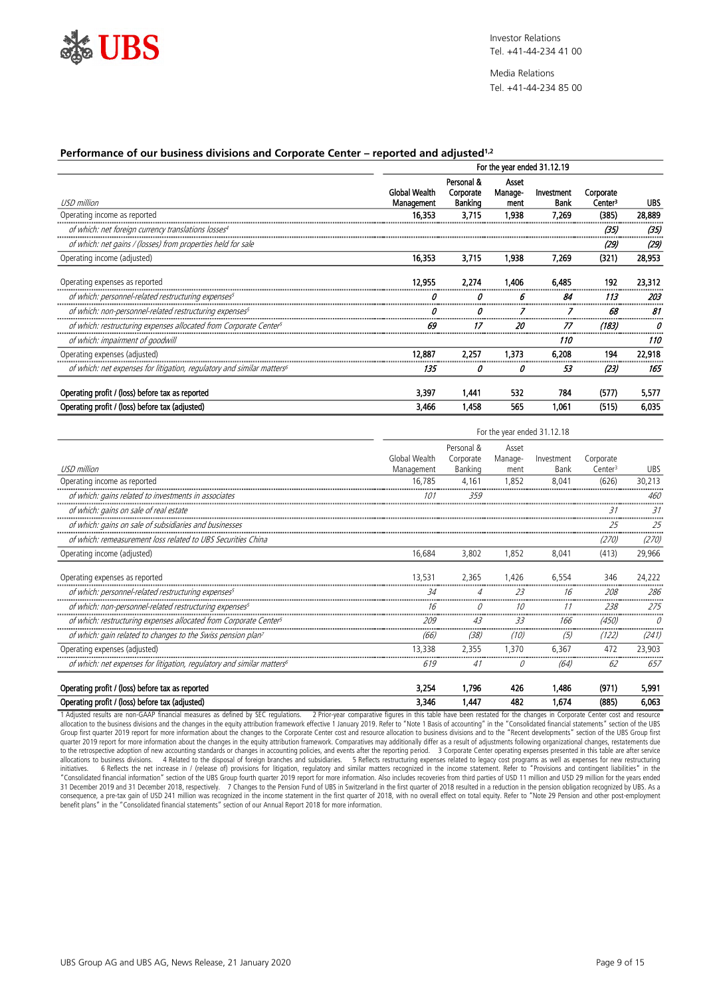

Media Relations Tel. +41-44-234 85 00

#### **Performance of our business divisions and Corporate Center – reported and adjusted1,2**

|                                                                          | For the year ended 31.12.19        |                                    |                          |                    |                                  |        |  |
|--------------------------------------------------------------------------|------------------------------------|------------------------------------|--------------------------|--------------------|----------------------------------|--------|--|
| USD million                                                              | <b>Global Wealth</b><br>Management | Personal &<br>Corporate<br>Banking | Asset<br>Manage-<br>ment | Investment<br>Bank | Corporate<br>Center <sup>3</sup> | UBS    |  |
| Operating income as reported                                             | 16,353                             | 3.715                              | 1,938                    | 7,269              | (385)                            | 28,889 |  |
| of which: net foreign currency translations losses <sup>4</sup>          |                                    |                                    |                          |                    | (35)                             | (35)   |  |
| of which: net gains / (losses) from properties held for sale             |                                    |                                    |                          |                    | (29)                             | (29)   |  |
| Operating income (adjusted)                                              | 16,353                             | 3,715                              | 1,938                    | 7.269              | (321)                            | 28,953 |  |
| Operating expenses as reported                                           | 12.955                             | 2,274                              | 1,406                    | 6,485              | 192                              | 23,312 |  |
| of which: personnel-related restructuring expenses                       |                                    |                                    | 6                        | 84                 | 113                              | 203    |  |
| of which: non-personnel-related restructuring expenses <sup>5</sup>      |                                    | IJ                                 |                          |                    | 68                               | 81     |  |
| of which: restructuring expenses allocated from Corporate Center5        | 69                                 |                                    | 20                       | 77                 | (183)                            |        |  |
| of which: impairment of goodwill                                         |                                    |                                    |                          | 110                |                                  | 110    |  |
| Operating expenses (adjusted)                                            | 12.887                             | 2.257                              | 1.373                    | 6.208              | 194                              | 22,918 |  |
| of which: net expenses for litigation, regulatory and similar matters of | 135                                | 0                                  | 0                        | 53                 | (23)                             | 165    |  |
| Operating profit / (loss) before tax as reported                         | 3,397                              | 1.441                              | 532                      | 784                | (577)                            | 5,577  |  |
| Operating profit / (loss) before tax (adjusted)                          | 3,466                              | 1,458                              | 565                      | 1.061              | (515)                            | 6,035  |  |

|                                                                                    | For the year ended 31.12.18 |                                    |                          |                    |                                  |            |  |
|------------------------------------------------------------------------------------|-----------------------------|------------------------------------|--------------------------|--------------------|----------------------------------|------------|--|
| USD million                                                                        | Global Wealth<br>Management | Personal &<br>Corporate<br>Banking | Asset<br>Manage-<br>ment | Investment<br>Bank | Corporate<br>Center <sup>3</sup> | <b>UBS</b> |  |
| Operating income as reported                                                       | 16.785                      | 4,161                              | 1.852                    | 8.041              | (626)                            | 30,213     |  |
| of which: gains related to investments in associates                               | 10 i                        | 359                                |                          |                    |                                  | 460        |  |
| of which: gains on sale of real estate                                             |                             |                                    |                          |                    | 31                               | 31         |  |
| of which: gains on sale of subsidiaries and businesses                             |                             |                                    |                          |                    | 25                               | 25         |  |
| of which: remeasurement loss related to UBS Securities China                       |                             |                                    |                          |                    | (270)                            | (270)      |  |
| Operating income (adjusted)                                                        | 16,684                      | 3,802                              | 1.852                    | 8.041              | (413)                            | 29,966     |  |
| Operating expenses as reported                                                     | 13.531                      | 2,365                              | 1.426                    | 6.554              | 346                              | 24,222     |  |
| of which: personnel-related restructuring expenses <sup>5</sup>                    | 34                          |                                    | 23                       | 16                 | 208                              | 286        |  |
| of which: non-personnel-related restructuring expenses <sup>5</sup>                | 16                          |                                    |                          |                    | 238                              | 275        |  |
| of which: restructuring expenses allocated from Corporate Center5                  | 209                         | 43                                 | 33                       | 166                | (450)                            |            |  |
| of which: gain related to changes to the Swiss pension plan?                       | (66)                        | (38)                               | (10)                     | (5)                | (122)                            | (241)      |  |
| Operating expenses (adjusted)                                                      | 13,338                      | 2,355                              | 1,370                    | 6,367              | 472                              | 23,903     |  |
| of which: net expenses for litigation, regulatory and similar matters <sup>6</sup> | 619                         | 41                                 | Ũ                        | (64)               | 62                               | 657        |  |
| Operating profit / (loss) before tax as reported                                   | 3,254                       | 1.796                              | 426                      | 1.486              | (971)                            | 5,991      |  |

1 Adjusted results are non-GAAP financial measures as defined by SEC regulations. 2 Prior-year comparative figures in this table have been restated for the changes in Corporate Center cost and resource allocation to the bu to the retrospective adoption of new accounting standards or changes in accounting policies, and events after the reporting period. 3 Corporate Center operating expenses presented in this table are after service<br>allocation initiatives. GiReflects the net increase in / (release of) provisions for litigation, regulatory and similar matters recognized in the income statement. Refer to "Provisions and contingent liabilities" in the the starten b 31 December 2019 and 31 December 2018, respectively. 7 Changes to the Pension Fund of UBS in Switzerland in the first quarter of 2018 resulted in a reduction in the pension obligation recognized by UBS. As a consequence, a pre-tax gain of USD 241 million was recognized in the income statement in the first quarter of 2018, with no overall effect on total equity. Refer to "Note 29 Pension and other post-employment<br>benefit plans"

Operating profit / (loss) before tax (adjusted) 3,346 1,447 482 1,674 (885) 6,063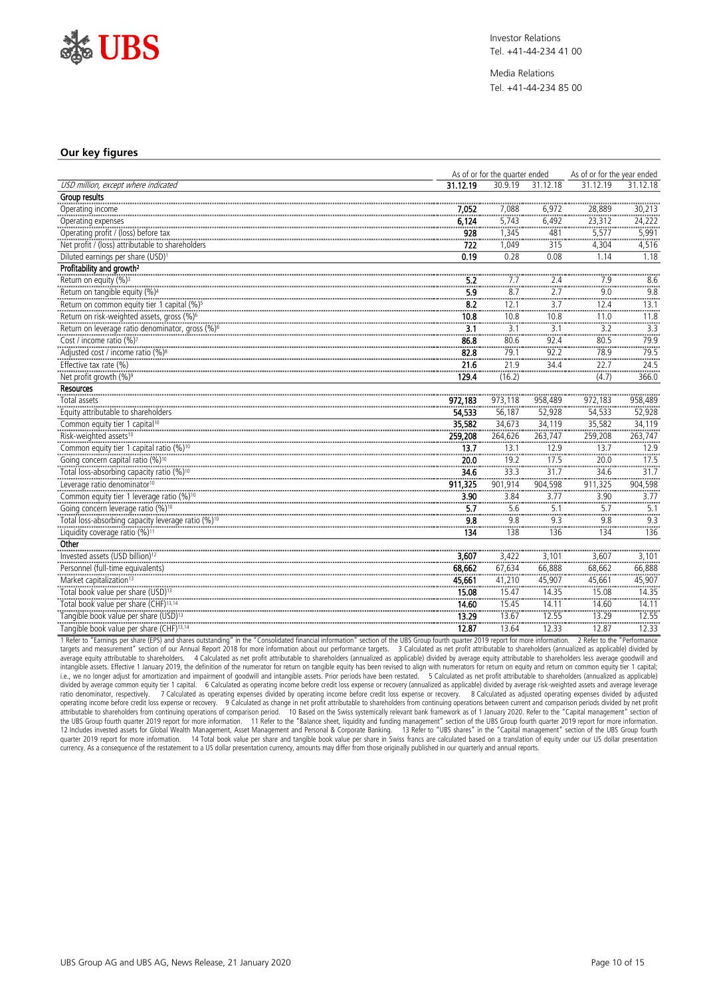

Media Relations Tel. +41-44-234 85 00

#### **Our key figures**

|                                                                                                      | As of or for the quarter ended |                        |                               | As of or for the year ended |              |
|------------------------------------------------------------------------------------------------------|--------------------------------|------------------------|-------------------------------|-----------------------------|--------------|
| USD million, except where indicated                                                                  | 31.12.19                       | 30.9.19                | 31.12.18                      | 31.12.19                    | 31.12.18     |
| Group results                                                                                        |                                |                        |                               |                             |              |
| Operating income                                                                                     | 7,052                          | 7,088                  | 6.972                         | 28.889                      | 30,213       |
| Operating expenses                                                                                   | 6,124                          | 5,743                  | 6,492                         | 23,312                      | :<br>24,222  |
| Operating profit / (loss) before tax                                                                 | 928                            | 1.345                  | 481                           | 5.577                       | 5,991        |
| Net profit / (loss) attributable to shareholders                                                     | 722                            | 1,049                  | 315                           | 4,304                       | 4,516        |
| Diluted earnings per share (USD) <sup>1</sup>                                                        | 0.19                           | 0.28                   | 0.08                          | 1.14                        | 1.18         |
| Profitability and growth <sup>2</sup>                                                                |                                |                        |                               |                             |              |
| Return on equity (%) <sup>3</sup>                                                                    | 5.2                            | 7.7<br>------          | 2.4<br>                       | 7.9<br>                     | 8.6<br>      |
|                                                                                                      | 5.9                            | 8.7<br>                | 2.7                           | 9.0<br>                     | 9.8          |
|                                                                                                      | $\overline{8.2}$               | 12.1                   | $\frac{1}{3.7}$               | 12.4<br>                    | 13.1         |
| Return on risk-weighted assets, gross (%) <sup>6</sup>                                               | 10.8                           | 10.8                   | 10.8                          | 11.0                        | 11.8         |
| Return on leverage ratio denominator, gross (%) <sup>6</sup><br>Cost / income ratio (%) <sup>7</sup> | 3.1                            | $\frac{1000}{3.1}$<br> | <br>3.1<br>                   | <br>3.2<br>.                | ي<br>3.3<br> |
|                                                                                                      | 86.8                           | 80.6<br>               | 92.4                          | 80.5<br>                    | 79.9         |
| Adjusted cost / income ratio (%) <sup>8</sup>                                                        | 82.8                           | 79.1                   | $\frac{1}{92.2}$              | 78.9                        | 79.5         |
| Effective tax rate (%)                                                                               | 21.6                           | 21.9                   | .<br>34.4                     | <br>22.7                    | <br>24.5     |
| Net profit growth (%) <sup>9</sup>                                                                   | 129.4                          | (16.2)                 |                               | <br>(4.7)                   | <br>366.0    |
| <b>Resources</b>                                                                                     |                                |                        |                               |                             |              |
| Total assets                                                                                         | 972,183                        | 973.118                | 958,489                       | 972.183                     | 958,489      |
| Equity attributable to shareholders                                                                  | 54,533                         | 56,187                 | 52,928                        | 54,533                      | 52,928       |
| Common equity tier 1 capital <sup>10</sup>                                                           | 35,582                         | 34,673                 | 34,119                        | 35,582                      | 34,119       |
| Risk-weighted assets <sup>10</sup>                                                                   | 259,208                        | 264,626                | 263,747                       | 259,208                     | 263,747      |
|                                                                                                      | 13.7                           | 13.1<br>               | 12.9<br>                      | 13.7<br>                    | 12.9         |
| Going concern capital ratio (%) <sup>10</sup>                                                        | $\frac{1}{20.0}$               | 19.2                   | 17.5                          | 20.0                        | <br>.17.5    |
|                                                                                                      | 34.6                           | 33.3                   | 31.7                          | 34.6                        | 31.7         |
| Leverage ratio denominator <sup>10</sup>                                                             | 911.325                        | 901,914                | 904,598                       | 911,325                     | 904,598      |
|                                                                                                      | $rac{1}{3.90}$                 | 3.84                   | <br>3.77                      | $rac{1}{3.90}$              | 3.77         |
| Going concern leverage ratio (%) <sup>10</sup>                                                       | <br>5.7                        | <br>5.6<br>            | ------<br>5.1<br><b>11111</b> | ------<br>5.7               | <br>5.1<br>  |
| Total loss-absorbing capacity leverage ratio (%) <sup>10</sup>                                       | 9.8                            | 9.8                    | 9.3                           | 9.8                         | 9.3          |
| Liquidity coverage ratio (%) <sup>11</sup>                                                           | <br>134                        | <br>138                | <br>136                       | <br>134                     | 136          |
| Other                                                                                                |                                |                        |                               |                             |              |
| Invested assets (USD billion) <sup>12</sup>                                                          | 3.607                          | 3.422                  | 3.101                         | 3.607                       | 3.101        |
| Personnel (full-time equivalents)                                                                    | 68,662                         | 67,634                 | 66,888                        | 68,662                      | 66,888       |
| Market capitalization <sup>13</sup>                                                                  | 45,661                         | 41,210                 | 45,907                        | 45,661                      | 45,907       |
| Total book value per share (USD) <sup>13</sup>                                                       | 15.08                          | 15.47                  | 14.35                         | 15.08                       | 14.35        |
| Total book value per share (CHF) <sup>13,14</sup>                                                    | 14.60                          | 15.45                  | 14.11                         | 14.60                       | 14.11        |
| Tangible book value per share (USD) <sup>13</sup>                                                    | 13.29                          | 13.67                  | 12.55                         | 13.29                       | 12.55        |
| Tangible book value per share (CHF) <sup>13,14</sup>                                                 | 12.87                          | 13.64                  | 12.33                         | 12.87                       | 12.33        |

1 Refer to "Earnings per share (EPS) and shares outstanding" in the "Consolidated financial information" section of the UBS Group fourth quarter 2019 report for more information. 2 Refer to the "Performance targets and measurement" section of our Annual Report 2018 for more information about our performance targets. 3 Calculated as net profit attributable to shareholders (annualized as applicable) divided by<br>average equity at intangible assets. Effective 1 January 2019, the definition of the numerator for return on tangible equity has been revised to align with numerators for return on equity and return on common equity tier 1 capital;<br>i.e., we ratio denominator, respectively. 7 Calculated as operating expenses divided by operating income before credit loss expense or recovery. 8 Calculated as adjusted operating expenses divided by adjusted operating income before credit loss expense or recovery. 9 Calculated as change in net profit attributable to shareholders from continuing operations between current and comparison periods divided by net profit attributabl quarter 2019 report for more information. 14 Total book value per share and tangible book value per share in Swiss francs are calculated based on a translation of equity under our US dollar presentation currency. As a consequence of the restatement to a US dollar presentation currency, amounts may differ from those originally published in our quarterly and annual reports.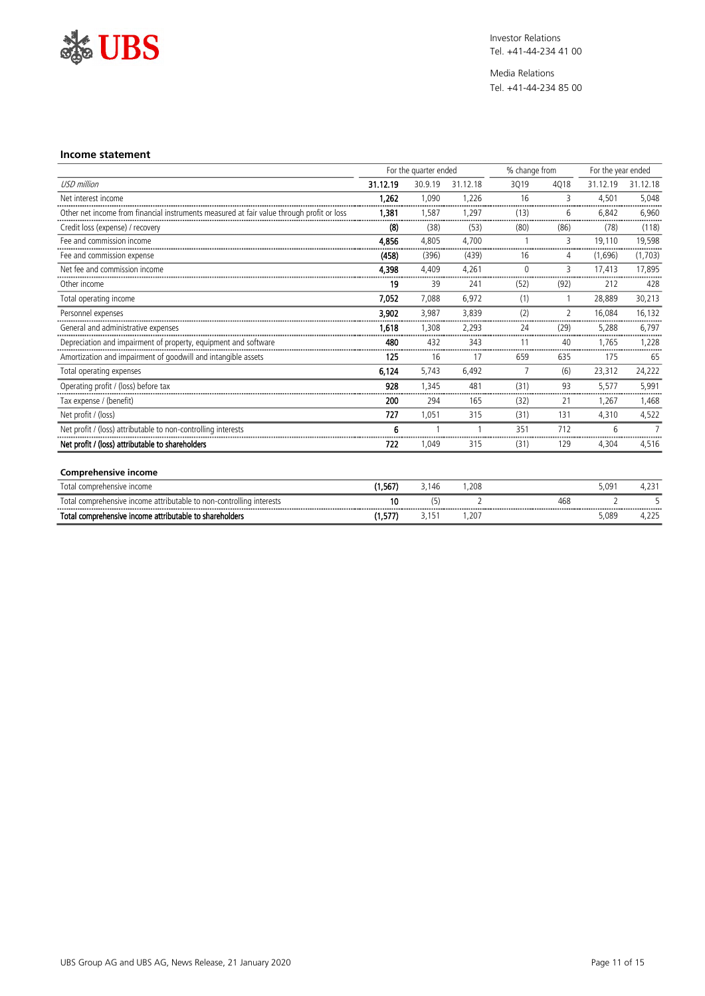

Media Relations Tel. +41-44-234 85 00

#### **Income statement**

|                                                                                           | For the quarter ended |         |                          | % change from  |                    | For the year ended |                |
|-------------------------------------------------------------------------------------------|-----------------------|---------|--------------------------|----------------|--------------------|--------------------|----------------|
| <b>USD</b> million                                                                        | 31.12.19              | 30.9.19 | 31.12.18                 | 3019           | 4018               | 31.12.19           | 31.12.18       |
| Net interest income                                                                       | 1,262                 | 1.090   | 1.226                    | 16             | $\overline{3}$<br> | 4.501              | 5,048          |
| Other net income from financial instruments measured at fair value through profit or loss | 1,381                 | 1.587   | 1.297                    | (13)           | 6                  | 6.842<br>          | 6,960          |
| Credit loss (expense) / recovery                                                          | (8)                   | (38)    | (53)                     | (80)           | (86)               | (78)               | (118)          |
| Fee and commission income                                                                 | 4.856                 | 4.805   | 4.700                    |                | 3                  | 19.110             | 19,598         |
| Fee and commission expense                                                                | (458)                 | (396)   | (439)                    | 16             | 4                  | (1,696)            | (1,703)        |
| Net fee and commission income                                                             | 4.398                 | 4.409   | 4.261                    | $\Omega$       | $\overline{3}$     | 17.413             | 17.895         |
| Other income                                                                              | 19                    | 39      | 241                      | (52)           | (92)               | 212                | 428            |
| Total operating income                                                                    | 7.052                 | 7,088   | 6,972                    | (1)            | $\mathbf{1}$       | 28,889             | 30,213         |
| Personnel expenses                                                                        | 3,902                 | 3,987   | 3,839                    | (2)            | $\overline{2}$     | 16.084             | 16,132         |
| General and administrative expenses                                                       | 1.618                 | 1.308   | 2,293                    | 24<br>         | (29)               | 5,288              | 6,797          |
| Depreciation and impairment of property, equipment and software                           | 480                   | 432     | 343                      | 11             | 40                 | 1.765              | 1.228          |
| Amortization and impairment of goodwill and intangible assets                             | 125                   | 16      | 17                       | 659            | 635                | 175                | 65             |
| Total operating expenses                                                                  | 6.124                 | 5.743   | 6.492                    | $\overline{7}$ | (6)                | 23.312             | 24,222         |
| Operating profit / (loss) before tax                                                      | 928                   | 1.345   | 481                      | (31)           | 93                 | 5,577              | 5,991          |
| Tax expense / (benefit)                                                                   | 200                   | 294     | 165                      | (32)           | 21                 | 1,267              | 1,468          |
| Net profit / (loss)                                                                       | 727                   | 1.051   | 315                      | (31)           | 131                | 4,310              | 4,522          |
| Net profit / (loss) attributable to non-controlling interests                             | 6                     |         |                          | 351            | 712                | 6                  | $\overline{7}$ |
| Net profit / (loss) attributable to shareholders                                          | 722                   | 1,049   | 315                      | (31)           | 129                | 4,304              | 4,516          |
|                                                                                           |                       |         |                          |                |                    |                    |                |
| <b>Comprehensive income</b>                                                               |                       |         |                          |                |                    |                    |                |
| Total comprehensive income                                                                | (1, 567)              | 3,146   | 1.208                    |                |                    | 5,091              | 4,231          |
| Total comprehensive income attributable to non-controlling interests                      | 10                    | (5)     | $\overline{\phantom{a}}$ |                | 468                | $\overline{2}$     | 5              |
| Total comprehensive income attributable to shareholders                                   | (1,577)               | 3,151   | 1,207                    |                |                    | 5,089              | 4,225          |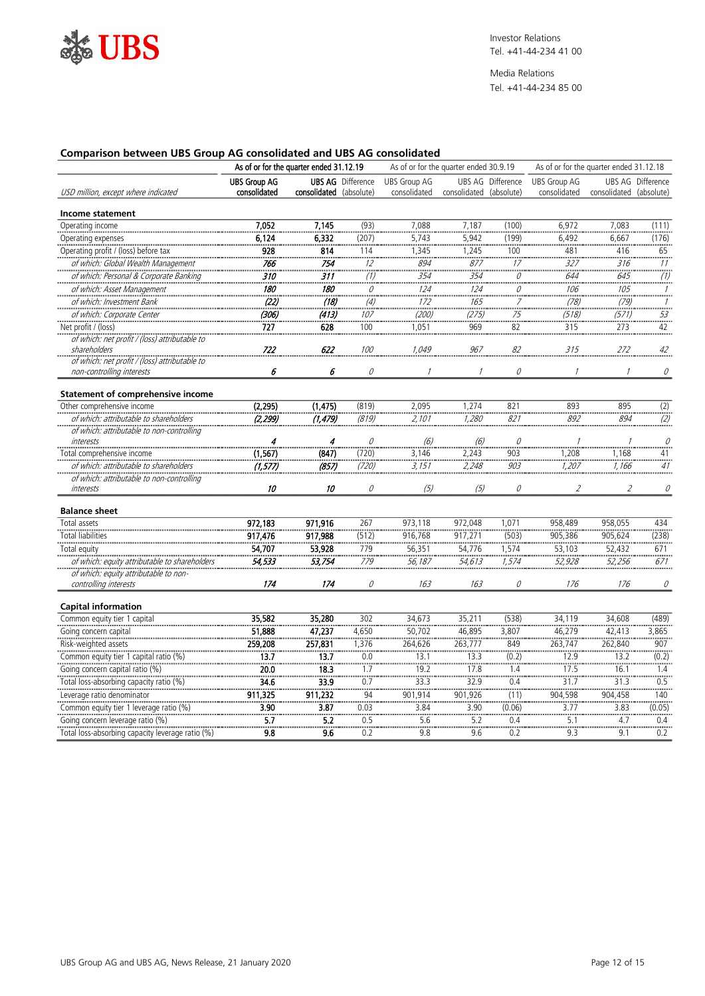

#### **Comparison between UBS Group AG consolidated and UBS AG consolidated**

|                                                                       | As of or for the quarter ended 31.12.19 |                         |                                         |                                     | As of or for the quarter ended 30.9.19 |                                                               |                                                         | As of or for the quarter ended 31.12.18 |                          |  |
|-----------------------------------------------------------------------|-----------------------------------------|-------------------------|-----------------------------------------|-------------------------------------|----------------------------------------|---------------------------------------------------------------|---------------------------------------------------------|-----------------------------------------|--------------------------|--|
| USD million, except where indicated                                   | <b>UBS Group AG</b><br>consolidated     | consolidated (absolute) | <b>UBS AG</b> Difference                | <b>UBS Group AG</b><br>consolidated | consolidated (absolute)                | UBS AG Difference                                             | <b>UBS Group AG</b><br>consolidated                     | consolidated (absolute)                 | <b>UBS AG Difference</b> |  |
| Income statement                                                      |                                         |                         |                                         |                                     |                                        |                                                               |                                                         |                                         |                          |  |
| Operating income                                                      | 7,052                                   | 7,145                   | (93)                                    | 7,088                               | 7,187                                  | (100)                                                         | 6,972                                                   | 7,083                                   | (111)                    |  |
| Operating expenses                                                    | 6,124                                   | 6,332                   | (207)                                   | 5,743                               | 5,942                                  | (199)                                                         | 6,492                                                   | 6,667                                   | (176)                    |  |
| Operating profit / (loss) before tax                                  | <br>928                                 | 814                     | 114                                     | 1,345                               | 1,245                                  | 100                                                           | 481                                                     | 416                                     | 65                       |  |
| of which: Global Wealth Management                                    | 766                                     | 754                     | $\begin{array}{c}\n \\ 12\n\end{array}$ | 894                                 | 877                                    | $\begin{array}{c}\n \\ \hline\n17 \\  \\ \hline\n\end{array}$ | $\frac{1}{327}$                                         | $\frac{1}{316}$                         | $\frac{11}{11}$          |  |
| of which: Personal & Corporate Banking                                | 310                                     | $\overline{311}$        |                                         | .<br>354                            | 354                                    | 0                                                             |                                                         | 645                                     |                          |  |
| of which: Asset Management                                            | 180                                     | 180                     | $\frac{\overline{}}{\overline{}}$       | $\frac{1}{124}$                     | $\frac{1}{124}$                        | $\ddot{\vec{c}}$                                              | $\begin{array}{c}\n 644 \\  \hline\n 106\n \end{array}$ | $\frac{1}{105}$                         | $\frac{1}{1}$            |  |
| of which: Investment Bank                                             | (22)                                    | (18)                    |                                         | 172                                 | 165                                    |                                                               | (78)                                                    | (79)                                    | $\mathcal I$             |  |
| of which: Corporate Center                                            | (306)                                   | (413)                   | $(4)$<br>$107$                          | ………<br>(200)                        | بنتب<br>(275)                          | $\begin{array}{c}\n75 \\ 75 \\ \end{array}$                   | <br>(518)                                               | (571)                                   | سيب<br>$\frac{53}{1}$    |  |
| Net profit / (loss)                                                   | 727                                     | 628                     | 100                                     | 1,051                               | 969                                    | 82                                                            | 315                                                     | 273                                     | 42                       |  |
| of which: net profit / (loss) attributable to                         |                                         |                         |                                         |                                     |                                        |                                                               |                                                         |                                         |                          |  |
| shareholders                                                          | 722                                     | 622                     | 100                                     | 1,049                               | 967                                    | 82                                                            | 315                                                     | 272                                     | $42\,$                   |  |
| of which: net profit / (loss) attributable to                         |                                         |                         |                                         |                                     |                                        |                                                               |                                                         |                                         |                          |  |
| non-controlling interests                                             | 6                                       | 6                       | 0                                       | $\mathcal{I}$                       | $\mathcal{I}$                          | 0                                                             | $\mathcal{I}$                                           | $\mathcal{I}$                           | 0                        |  |
| <b>Statement of comprehensive income</b>                              |                                         |                         |                                         |                                     |                                        |                                                               |                                                         |                                         |                          |  |
| Other comprehensive income                                            | (2, 295)                                | (1, 475)                | (819)                                   | 2,095                               | 1,274                                  | 821                                                           | 893                                                     | 895                                     |                          |  |
| of which: attributable to shareholders                                | (2, 299)                                | (1, 479)                | (819)                                   | $\frac{2,101}{2,101}$               | <br><i>1,280</i>                       | <br>821                                                       | $rac{1}{892}$                                           | <br>894                                 | $\frac{(2)}{(2)}$        |  |
| of which: attributable to non-controlling                             |                                         |                         |                                         |                                     |                                        |                                                               |                                                         |                                         |                          |  |
| interests<br>.                                                        | 4                                       | 4                       | 0                                       | (6)                                 | (6)                                    | 0                                                             |                                                         |                                         | 0                        |  |
| Total comprehensive income                                            | (1, 567)                                | (847)                   | (720)                                   | 3,146                               | 2,243                                  | ……<br>903<br>……                                               | <br>1,208                                               | ………<br>1,168                            | 41                       |  |
| of which: attributable to shareholders                                | (1, 577)                                | (857)                   | (720)                                   | 3,151                               | 2,248                                  | 903                                                           | 1,207                                                   | 1,166                                   | 41                       |  |
| of which: attributable to non-controlling                             |                                         |                         |                                         |                                     |                                        |                                                               |                                                         |                                         |                          |  |
| interests                                                             | 10                                      | 10                      | 0                                       | (5)                                 | (5)                                    | 0                                                             | $\overline{2}$                                          | $\mathcal{L}_{\mathcal{L}}$             | 0                        |  |
| <b>Balance sheet</b>                                                  |                                         |                         |                                         |                                     |                                        |                                                               |                                                         |                                         |                          |  |
| Total assets                                                          | 972,183                                 | 971,916                 | 267                                     | 973,118                             | 972,048                                | 1,071                                                         | 958,489                                                 | 958,055                                 | 434                      |  |
| <b>Total liabilities</b>                                              | 917,476                                 | 917,988                 | (512)                                   | 916,768                             | 917,271                                | (503)                                                         | 905,386                                                 | 905,624                                 | (238)                    |  |
| Total equity                                                          | 54,707                                  | 53,928                  | 779                                     | 56,351                              | 54,776                                 | 1,574                                                         | 53,103                                                  | 52,432                                  | 671                      |  |
| of which: equity attributable to shareholders                         | 54,533                                  | 53,754                  | $\frac{779}{1}$                         | 56, 187                             | 54,613                                 | $\frac{7}{574}$                                               | 52,928                                                  | 52,256                                  | $\frac{1}{671}$          |  |
| of which: equity attributable to non-                                 |                                         |                         |                                         |                                     |                                        |                                                               |                                                         |                                         |                          |  |
| controlling interests                                                 | 174                                     | 174                     | 0                                       | 163                                 | 163                                    | 0                                                             | 176                                                     | 176                                     | 0                        |  |
| <b>Capital information</b>                                            |                                         |                         |                                         |                                     |                                        |                                                               |                                                         |                                         |                          |  |
| Common equity tier 1 capital                                          | 35,582                                  | 35,280                  | 302                                     | 34,673                              | 35,211                                 | (538)                                                         | 34,119                                                  | 34,608                                  | (489)                    |  |
|                                                                       | 51,888                                  | 47,237                  | 4,650                                   | 50,702                              | 46,895                                 | 3,807                                                         | 46,279                                                  | 42,413                                  | 3,865                    |  |
| Going concern capital<br>Risk-weighted assets                         | 259,208                                 | 257,831                 | <br>1,376                               | -------------<br>264,626            | <br>263,777                            | -------<br>849                                                | 263,747                                                 | <br>262,840                             | -------<br>907           |  |
| Common equity tier 1 capital ratio (%)                                | 13.7                                    | 13.7                    | 0.0                                     | 13.1                                | 13.3                                   | (0.2)                                                         | 12.9                                                    | 13.2                                    | (0.2)                    |  |
| Going concern capital ratio (%)                                       | $\frac{1}{20.0}$                        | 18.3                    | 1.7                                     | 19.2                                | 17.8                                   | 1.4                                                           | 17.5                                                    | 16.1                                    | 1.4                      |  |
| Total loss-absorbing capacity ratio (%)                               | 34.6                                    | 33.9                    | $\overline{0.7}$                        | <br>33.3                            | 32.9                                   | $\overline{0.4}$                                              | <br>31.7                                                | <br>31.3                                | $\overline{0.5}$         |  |
|                                                                       | 911,325                                 | 911,232                 | $\frac{34}{94}$                         | 901,914                             | 901,926                                | ÷.<br>(11)                                                    | 904,598                                                 | 904,458                                 | 140                      |  |
| Leverage ratio denominator<br>Common equity tier 1 leverage ratio (%) | 3.90                                    | 3.87                    | $\frac{1}{0.03}$                        | 3.84                                | 3.90                                   | (0.06)                                                        | $\frac{1}{3.77}$                                        | 3.83                                    | (0.05)                   |  |
| Going concern leverage ratio (%)                                      | $\overline{5.7}$                        | 5.2                     | 0.5                                     | $\frac{1}{5.6}$                     | $\frac{1}{5.2}$                        | 0.4                                                           | $\frac{1}{5.1}$                                         | 4.7                                     | 0.4                      |  |
| Total loss-absorbing capacity leverage ratio (%)                      | $\overline{9.8}$                        | $\overline{9.6}$        | $\frac{1}{0.2}$                         | 9.8                                 | $rac{1}{9.6}$                          | $\frac{1}{0.2}$                                               | $rac{1}{9.3}$                                           | $\frac{1}{9.1}$                         | $\frac{1}{0.2}$          |  |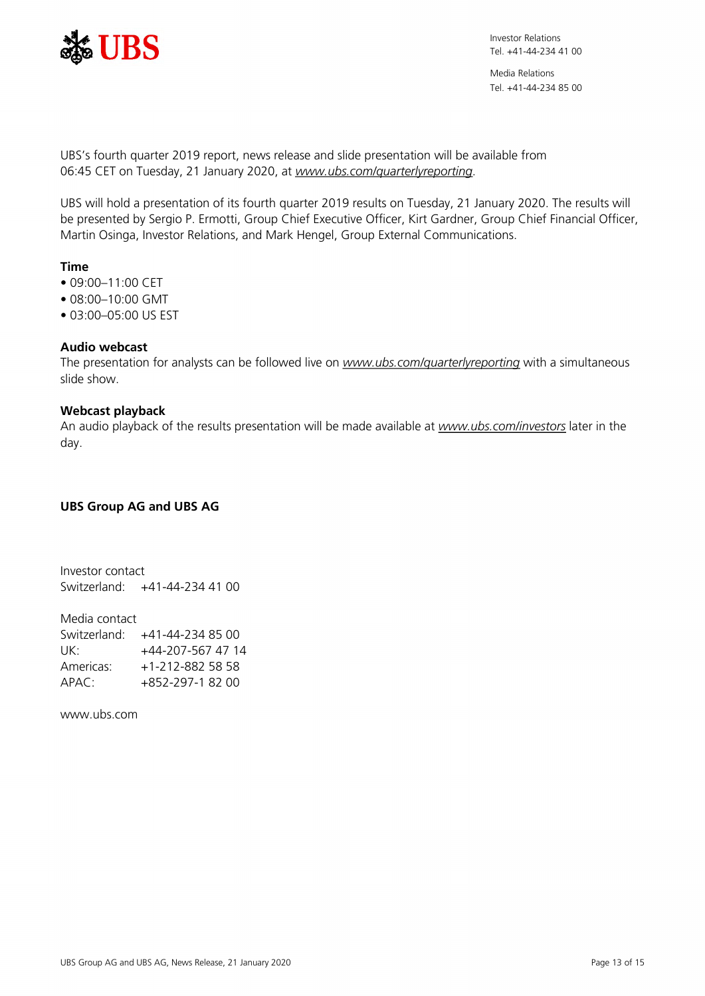

Media Relations Tel. +41-44-234 85 00

UBS's fourth quarter 2019 report, news release and slide presentation will be available from 06:45 CET on Tuesday, 21 January 2020, at *[www.ubs.com/quarterlyreporting](https://www.ubs.com/quarterlyreporting)*.

UBS will hold a presentation of its fourth quarter 2019 results on Tuesday, 21 January 2020. The results will be presented by Sergio P. Ermotti, Group Chief Executive Officer, Kirt Gardner, Group Chief Financial Officer, Martin Osinga, Investor Relations, and Mark Hengel, Group External Communications.

# **Time**

- $09:00 11:00$  CFT
- 08:00–10:00 GMT
- 03:00–05:00 US EST

## **Audio webcast**

The presentation for analysts can be followed live on *[www.ubs.com/quarterlyreporting](https://www.ubs.com/quarterlyreporting)* with a simultaneous slide show.

### **Webcast playback**

An audio playback of the results presentation will be made available at *[www.ubs.com/investors](https://www.ubs.com/investors)* later in the day.

### **UBS Group AG and UBS AG**

Investor contact Switzerland: +41-44-234 41 00

Media contact Switzerland: +41-44-234 85 00 UK: +44-207-567 47 14 Americas: +1-212-882 58 58<br>APAC: +852-297-1 82 00  $+852-297-18200$ 

www.ubs.com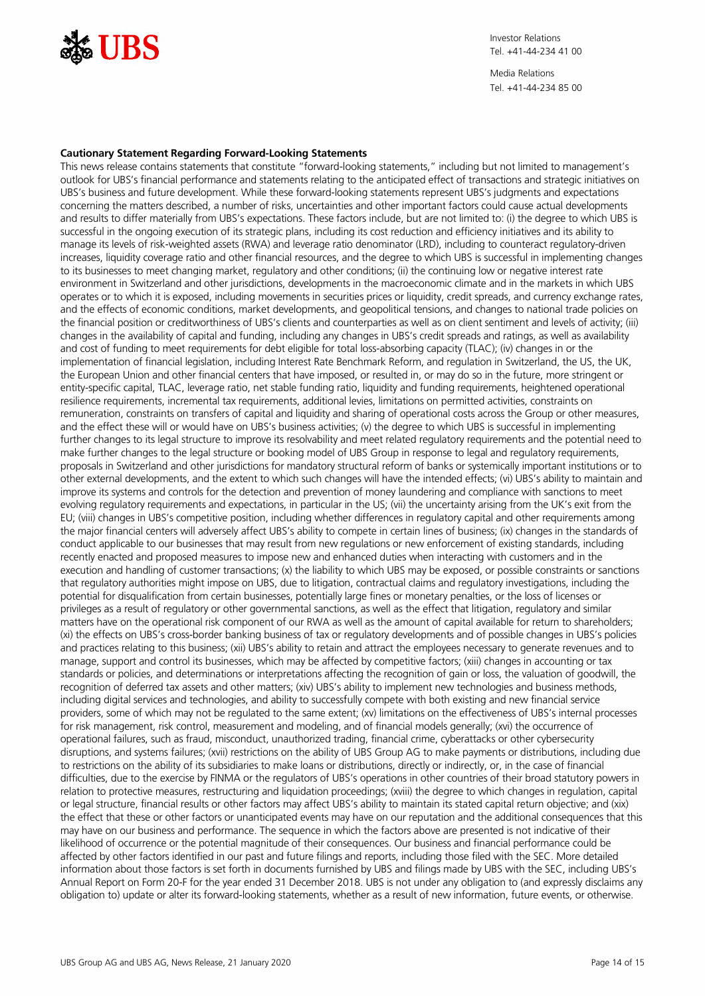

#### **Cautionary Statement Regarding Forward-Looking Statements**

This news release contains statements that constitute "forward-looking statements," including but not limited to management's outlook for UBS's financial performance and statements relating to the anticipated effect of transactions and strategic initiatives on UBS's business and future development. While these forward-looking statements represent UBS's judgments and expectations concerning the matters described, a number of risks, uncertainties and other important factors could cause actual developments and results to differ materially from UBS's expectations. These factors include, but are not limited to: (i) the degree to which UBS is successful in the ongoing execution of its strategic plans, including its cost reduction and efficiency initiatives and its ability to manage its levels of risk-weighted assets (RWA) and leverage ratio denominator (LRD), including to counteract regulatory-driven increases, liquidity coverage ratio and other financial resources, and the degree to which UBS is successful in implementing changes to its businesses to meet changing market, regulatory and other conditions; (ii) the continuing low or negative interest rate environment in Switzerland and other jurisdictions, developments in the macroeconomic climate and in the markets in which UBS operates or to which it is exposed, including movements in securities prices or liquidity, credit spreads, and currency exchange rates, and the effects of economic conditions, market developments, and geopolitical tensions, and changes to national trade policies on the financial position or creditworthiness of UBS's clients and counterparties as well as on client sentiment and levels of activity; (iii) changes in the availability of capital and funding, including any changes in UBS's credit spreads and ratings, as well as availability and cost of funding to meet requirements for debt eligible for total loss-absorbing capacity (TLAC); (iv) changes in or the implementation of financial legislation, including Interest Rate Benchmark Reform, and regulation in Switzerland, the US, the UK, the European Union and other financial centers that have imposed, or resulted in, or may do so in the future, more stringent or entity-specific capital, TLAC, leverage ratio, net stable funding ratio, liquidity and funding requirements, heightened operational resilience requirements, incremental tax requirements, additional levies, limitations on permitted activities, constraints on remuneration, constraints on transfers of capital and liquidity and sharing of operational costs across the Group or other measures, and the effect these will or would have on UBS's business activities; (v) the degree to which UBS is successful in implementing further changes to its legal structure to improve its resolvability and meet related regulatory requirements and the potential need to make further changes to the legal structure or booking model of UBS Group in response to legal and regulatory requirements, proposals in Switzerland and other jurisdictions for mandatory structural reform of banks or systemically important institutions or to other external developments, and the extent to which such changes will have the intended effects; (vi) UBS's ability to maintain and improve its systems and controls for the detection and prevention of money laundering and compliance with sanctions to meet evolving regulatory requirements and expectations, in particular in the US; (vii) the uncertainty arising from the UK's exit from the EU; (viii) changes in UBS's competitive position, including whether differences in regulatory capital and other requirements among the major financial centers will adversely affect UBS's ability to compete in certain lines of business; (ix) changes in the standards of conduct applicable to our businesses that may result from new regulations or new enforcement of existing standards, including recently enacted and proposed measures to impose new and enhanced duties when interacting with customers and in the execution and handling of customer transactions; (x) the liability to which UBS may be exposed, or possible constraints or sanctions that regulatory authorities might impose on UBS, due to litigation, contractual claims and regulatory investigations, including the potential for disqualification from certain businesses, potentially large fines or monetary penalties, or the loss of licenses or privileges as a result of regulatory or other governmental sanctions, as well as the effect that litigation, regulatory and similar matters have on the operational risk component of our RWA as well as the amount of capital available for return to shareholders; (xi) the effects on UBS's cross-border banking business of tax or regulatory developments and of possible changes in UBS's policies and practices relating to this business; (xii) UBS's ability to retain and attract the employees necessary to generate revenues and to manage, support and control its businesses, which may be affected by competitive factors; (xiii) changes in accounting or tax standards or policies, and determinations or interpretations affecting the recognition of gain or loss, the valuation of goodwill, the recognition of deferred tax assets and other matters; (xiv) UBS's ability to implement new technologies and business methods, including digital services and technologies, and ability to successfully compete with both existing and new financial service providers, some of which may not be regulated to the same extent; (xv) limitations on the effectiveness of UBS's internal processes for risk management, risk control, measurement and modeling, and of financial models generally; (xvi) the occurrence of operational failures, such as fraud, misconduct, unauthorized trading, financial crime, cyberattacks or other cybersecurity disruptions, and systems failures; (xvii) restrictions on the ability of UBS Group AG to make payments or distributions, including due to restrictions on the ability of its subsidiaries to make loans or distributions, directly or indirectly, or, in the case of financial difficulties, due to the exercise by FINMA or the regulators of UBS's operations in other countries of their broad statutory powers in relation to protective measures, restructuring and liquidation proceedings; (xviii) the degree to which changes in regulation, capital or legal structure, financial results or other factors may affect UBS's ability to maintain its stated capital return objective; and (xix) the effect that these or other factors or unanticipated events may have on our reputation and the additional consequences that this may have on our business and performance. The sequence in which the factors above are presented is not indicative of their likelihood of occurrence or the potential magnitude of their consequences. Our business and financial performance could be affected by other factors identified in our past and future filings and reports, including those filed with the SEC. More detailed information about those factors is set forth in documents furnished by UBS and filings made by UBS with the SEC, including UBS's Annual Report on Form 20-F for the year ended 31 December 2018. UBS is not under any obligation to (and expressly disclaims any obligation to) update or alter its forward-looking statements, whether as a result of new information, future events, or otherwise.